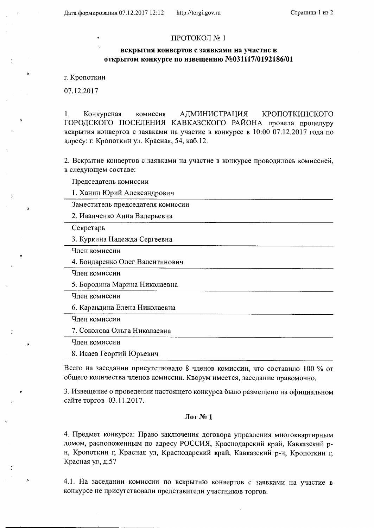## ПРОТОКОЛ №1

## вскрытия конвертов с заявками на участие в открытом конкурсе по извещению №031117/0192186/01

г. Кропоткин

07.12.2017

1. Конкурсная комиссия **АДМИНИСТРАЦИЯ** КРОПОТКИНСКОГО ГОРОДСКОГО ПОСЕЛЕНИЯ КАВКАЗСКОГО РАЙОНА провела процедуру вскрытия конвертов с заявками на участие в конкурсе в 10:00 07.12.2017 года по адресу: г. Кропоткин ул. Красная, 54, каб.12.

2. Вскрытие конвертов с заявками на участие в конкурсе проводилось комиссией, в следующем составе:

Председатель комиссии

1. Ханин Юрий Александрович

Заместитель председателя комиссии

2. Иванченко Анна Валерьевна

Секретарь

á

 $\mathcal{L}$ 

 $\bar{\mathcal{G}}$ 

3. Куркина Надежда Сергеевна

Член комиссии

4. Бондаренко Олег Валентинович

Член комиссии

5. Бородина Марина Николаевна

Член комиссии

6. Караңдина Елена Николаевна

Член комиссии

7. Соколова Ольга Николаевна

Член комиссии

8. Исаев Георгий Юрьевич

Всего на заседании присутствовало 8 членов комиссии, что составило 100 % от общего количества членов комиссии. Кворум имеется, заседание правомочно.

3. Извещение о проведении настоящего конкурса было размещено на официальном сайте торгов 03.11.2017.

## $\text{Mor}$  № 1

4. Предмет конкурса: Право заключения договора управления многоквартирным домом, расположенным по адресу РОССИЯ, Краснодарский край, Кавказский рн, Кропоткин г, Красная ул, Краснодарский край, Кавказский р-н, Кропоткин г, Красная ул, д.57

4.1. На заседании комиссии по вскрытию конвертов с заявками на участие в конкурсе не присутствовали представители участников торгов.